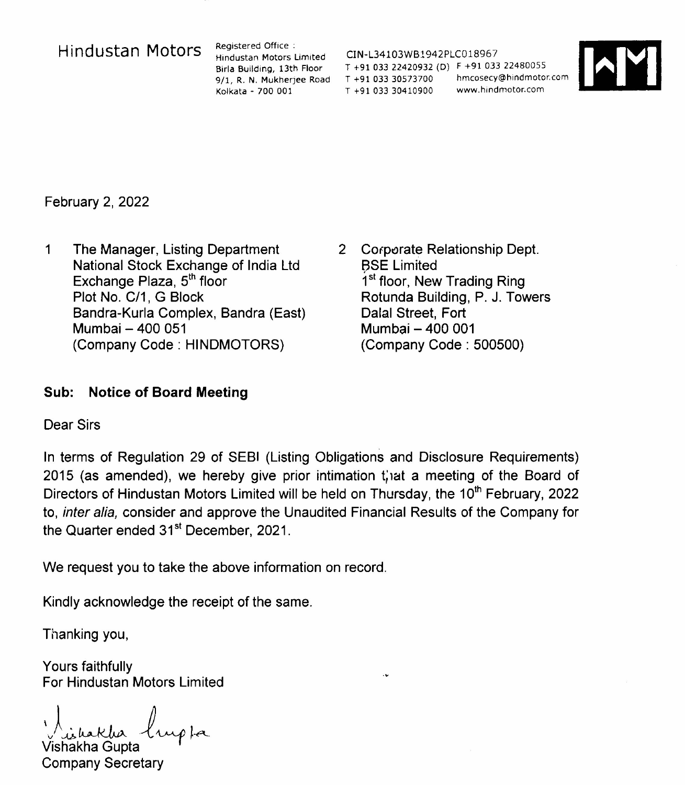## Hindustan Motors Registered Office :

Hindustan Motors Limited Birla Building, 13th Floor 9/1, R. N. Mukherjee Road Kolkata - 700 001

CIN-L34103WB1942PLC018967 T +91 03322420932 (DJ F +9103322480055 T +91 033 30573700 hmcosecy@hindmotor.com T +91 033 30410900 www.hindmotor.com



February 2, 2022

- 1 The Manager, Listing Department National Stock Exchange of India Ltd Exchange Plaza, 5<sup>th</sup> flool Plot No. *C/1,* G Block Bandra-Kurla Complex, Bandra (East) Mumbai - 400 051 (Company Code: HINDMOTORS)
- 2 Corporate Relationship Dept. BSE Limited 1<sup>st</sup> floor, New Trading Ring Rotunda Building, P. J. Towers Dalal Street, Fort Mumbai - 400 001 (Company Code: 500500)

## **Sub: Notice of Board Meeting**

Dear Sirs

In terms of Regulation 29 of SEBI (Listing Obligations and Disclosure Requirements) 2015 (as amended), we hereby give prior intimation that a meeting of the Board of Directors of Hindustan Motors Limited will be held on Thursday, the 10<sup>th</sup> February, 2022 to, *inter alia,* consider and approve the Unaudited Financial Results of the Company for the Quarter ended 31<sup>st</sup> December, 2021.

We request you to take the above information on record.

Kindly acknowledge the receipt of the same.

Thanking you,

Yours faithfully For Hindustan Motors Limited

*Listakha* lupta Vishakha Gupta

Company Secretary